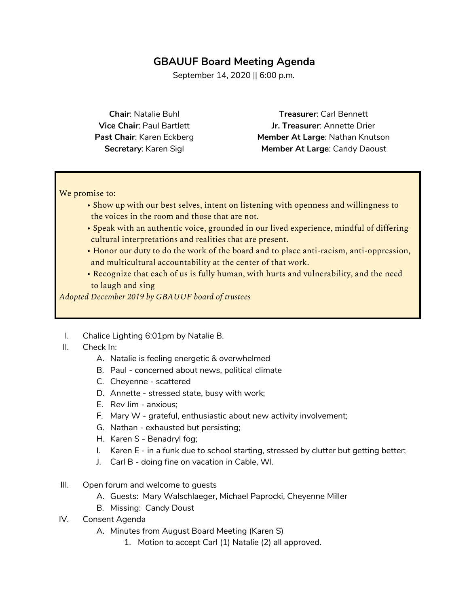## **GBAUUF Board Meeting Agenda**

September 14, 2020 || 6:00 p.m.

**Chair**: Natalie Buhl **Vice Chair**: Paul Bartlett **Past Chair**: Karen Eckberg **Secretary**: Karen Sigl

**Treasurer**: Carl Bennett **Jr. Treasurer**: Annette Drier **Member At Large**: Nathan Knutson **Member At Large**: Candy Daoust

We promise to:

- Show up with our best selves, intent on listening with openness and willingness to the voices in the room and those that are not.
- Speak with an authentic voice, grounded in our lived experience, mindful of differing cultural interpretations and realities that are present.
- Honor our duty to do the work of the board and to place anti-racism, anti-oppression, and multicultural accountability at the center of that work.
- Recognize that each of us is fully human, with hurts and vulnerability, and the need to laugh and sing

*Adopted December 2019 by GBAUUF board of trustees*

- I. Chalice Lighting 6:01pm by Natalie B.
- II. Check In:
	- A. Natalie is feeling energetic & overwhelmed
	- B. Paul concerned about news, political climate
	- C. Cheyenne scattered
	- D. Annette stressed state, busy with work;
	- E. Rev Jim anxious;
	- F. Mary W grateful, enthusiastic about new activity involvement;
	- G. Nathan exhausted but persisting;
	- H. Karen S Benadryl fog;
	- I. Karen E in a funk due to school starting, stressed by clutter but getting better;
	- J. Carl B doing fine on vacation in Cable, WI.
- III. Open forum and welcome to guests
	- A. Guests: Mary Walschlaeger, Michael Paprocki, Cheyenne Miller
	- B. Missing: Candy Doust
- IV. Consent Agenda
	- A. Minutes from August Board Meeting (Karen S)
		- 1. Motion to accept Carl (1) Natalie (2) all approved.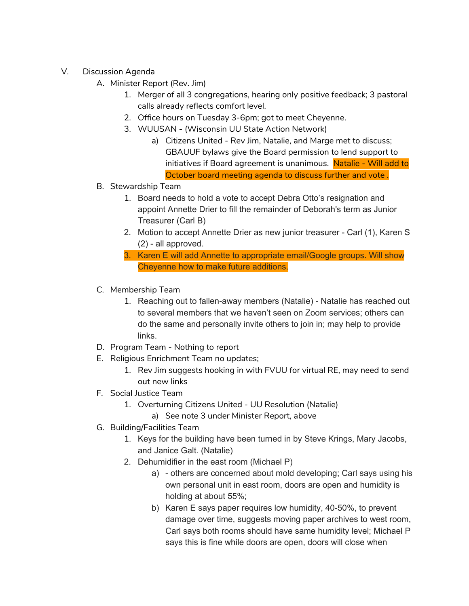- V. Discussion Agenda
	- A. Minister Report (Rev. Jim)
		- 1. Merger of all 3 congregations, hearing only positive feedback; 3 pastoral calls already reflects comfort level.
		- 2. Office hours on Tuesday 3-6pm; got to meet Cheyenne.
		- 3. WUUSAN (Wisconsin UU State Action Network)
			- a) Citizens United Rev Jim, Natalie, and Marge met to discuss; GBAUUF bylaws give the Board permission to lend support to initiatives if Board agreement is unanimous. Natalie - Will add to October board meeting agenda to discuss further and vote .
	- B. Stewardship Team
		- 1. Board needs to hold a vote to accept Debra Otto's resignation and appoint Annette Drier to fill the remainder of Deborah's term as Junior Treasurer (Carl B)
		- 2. Motion to accept Annette Drier as new junior treasurer Carl (1), Karen S (2) - all approved.
		- 3. Karen E will add Annette to appropriate email/Google groups. Will show Cheyenne how to make future additions.
	- C. Membership Team
		- 1. Reaching out to fallen-away members (Natalie) Natalie has reached out to several members that we haven't seen on Zoom services; others can do the same and personally invite others to join in; may help to provide links.
	- D. Program Team Nothing to report
	- E. Religious Enrichment Team no updates;
		- 1. Rev Jim suggests hooking in with FVUU for virtual RE, may need to send out new links
	- F. Social Justice Team
		- 1. Overturning Citizens United UU Resolution (Natalie)
			- a) See note 3 under Minister Report, above
	- G. Building/Facilities Team
		- 1. Keys for the building have been turned in by Steve Krings, Mary Jacobs, and Janice Galt. (Natalie)
		- 2. Dehumidifier in the east room (Michael P)
			- a) others are concerned about mold developing; Carl says using his own personal unit in east room, doors are open and humidity is holding at about 55%;
			- b) Karen E says paper requires low humidity, 40-50%, to prevent damage over time, suggests moving paper archives to west room, Carl says both rooms should have same humidity level; Michael P says this is fine while doors are open, doors will close when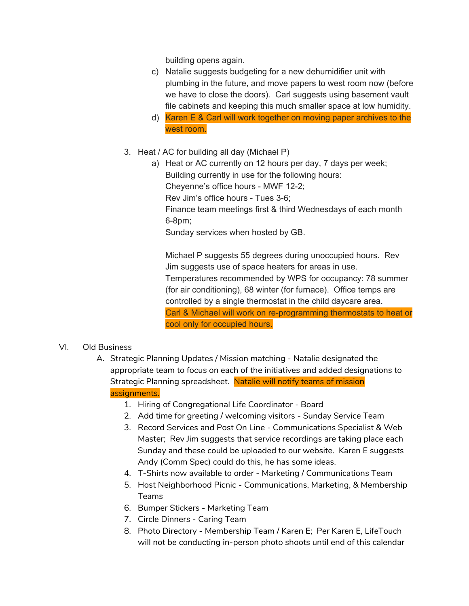building opens again.

- c) Natalie suggests budgeting for a new dehumidifier unit with plumbing in the future, and move papers to west room now (before we have to close the doors). Carl suggests using basement vault file cabinets and keeping this much smaller space at low humidity.
- d) Karen E & Carl will work together on moving paper archives to the west room.
- 3. Heat / AC for building all day (Michael P)
	- a) Heat or AC currently on 12 hours per day, 7 days per week; Building currently in use for the following hours: Cheyenne's office hours - MWF 12-2; Rev Jim's office hours - Tues 3-6; Finance team meetings first & third Wednesdays of each month 6-8pm; Sunday services when hosted by GB.

Michael P suggests 55 degrees during unoccupied hours. Rev Jim suggests use of space heaters for areas in use. Temperatures recommended by WPS for occupancy: 78 summer (for air conditioning), 68 winter (for furnace). Office temps are controlled by a single thermostat in the child daycare area. Carl & Michael will work on re-programming thermostats to heat or cool only for occupied hours.

#### VI. Old Business

- A. Strategic Planning Updates / Mission matching Natalie designated the appropriate team to focus on each of the initiatives and added designations to Strategic Planning spreadsheet. Natalie will notify teams of mission assignments.
	- 1. Hiring of Congregational Life Coordinator Board
	- 2. Add time for greeting / welcoming visitors Sunday Service Team
	- 3. Record Services and Post On Line Communications Specialist & Web Master; Rev Jim suggests that service recordings are taking place each Sunday and these could be uploaded to our website. Karen E suggests Andy (Comm Spec) could do this, he has some ideas.
	- 4. T-Shirts now available to order Marketing / Communications Team
	- 5. Host Neighborhood Picnic Communications, Marketing, & Membership Teams
	- 6. Bumper Stickers Marketing Team
	- 7. Circle Dinners Caring Team
	- 8. Photo Directory Membership Team / Karen E; Per Karen E, LifeTouch will not be conducting in-person photo shoots until end of this calendar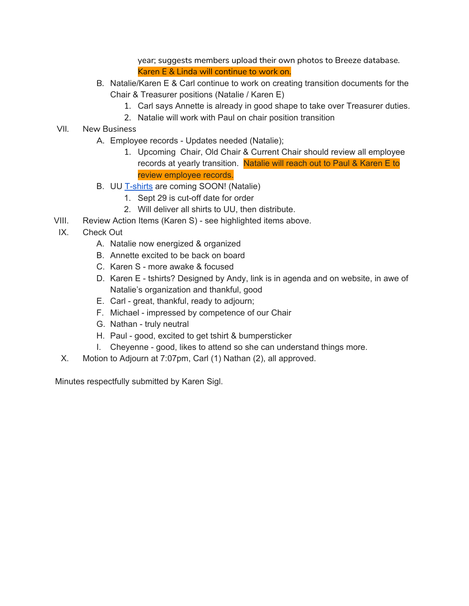year; suggests members upload their own photos to Breeze database. Karen E & Linda will continue to work on.

- B. Natalie/Karen E & Carl continue to work on creating transition documents for the Chair & Treasurer positions (Natalie / Karen E)
	- 1. Carl says Annette is already in good shape to take over Treasurer duties.
	- 2. Natalie will work with Paul on chair position transition
- VII. New Business
	- A. Employee records Updates needed (Natalie);
		- 1. Upcoming Chair, Old Chair & Current Chair should review all employee records at yearly transition. Natalie will reach out to Paul & Karen E to review employee records.
	- B. UU [T-shirts](https://gbafellowship.itemorder.com/sale) are coming SOON! (Natalie)
		- 1. Sept 29 is cut-off date for order
		- 2. Will deliver all shirts to UU, then distribute.
- VIII. Review Action Items (Karen S) see highlighted items above.
- IX. Check Out
	- A. Natalie now energized & organized
	- B. Annette excited to be back on board
	- C. Karen S more awake & focused
	- D. Karen E tshirts? Designed by Andy, link is in agenda and on website, in awe of Natalie's organization and thankful, good
	- E. Carl great, thankful, ready to adjourn;
	- F. Michael impressed by competence of our Chair
	- G. Nathan truly neutral
	- H. Paul good, excited to get tshirt & bumpersticker
	- I. Cheyenne good, likes to attend so she can understand things more.
- X. Motion to Adjourn at 7:07pm, Carl (1) Nathan (2), all approved.

Minutes respectfully submitted by Karen Sigl.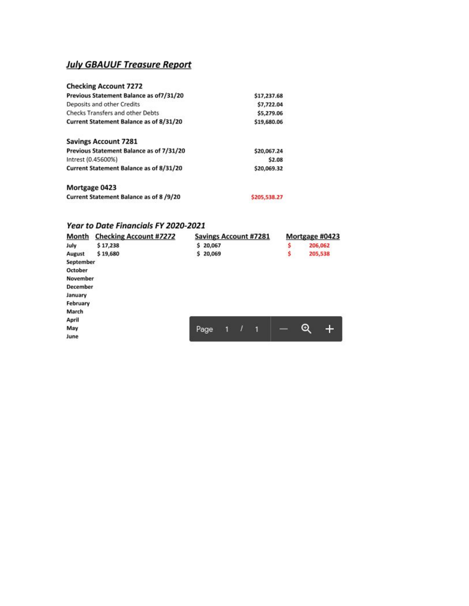### **July GBAUUF Treasure Report**

| <b>Checking Account 7272</b>             |              |
|------------------------------------------|--------------|
| Previous Statement Balance as of7/31/20  | \$17,237.68  |
| Deposits and other Credits               | \$7,722.04   |
| Checks Transfers and other Debts         | \$5,279.06   |
| Current Statement Balance as of 8/31/20  | \$19,680.06  |
| <b>Savings Account 7281</b>              |              |
| Previous Statement Balance as of 7/31/20 | \$20,067.24  |
| Intrest (0.45600%)                       | \$2.08       |
| Current Statement Balance as of 8/31/20  | \$20,069.32  |
| Mortgage 0423                            |              |
| Current Statement Balance as of 8/9/20   | \$205,538.27 |

# **Year to Date Financials FY 2020-2021**

| <b>Month</b> | <b>Checking Account #7272</b> | <b>Savings Account #7281</b> |   |   |   |    | Mortgage #0423                      |         |  |
|--------------|-------------------------------|------------------------------|---|---|---|----|-------------------------------------|---------|--|
| July         | \$17,238                      | \$20,067                     |   |   |   | \$ |                                     | 206,062 |  |
| August       | \$19,680                      | \$20,069                     |   |   |   | Ş  |                                     | 205,538 |  |
| September    |                               |                              |   |   |   |    |                                     |         |  |
| October      |                               |                              |   |   |   |    |                                     |         |  |
| November     |                               |                              |   |   |   |    |                                     |         |  |
| December     |                               |                              |   |   |   |    |                                     |         |  |
| January      |                               |                              |   |   |   |    |                                     |         |  |
| February     |                               |                              |   |   |   |    |                                     |         |  |
| March        |                               |                              |   |   |   |    |                                     |         |  |
| April        |                               |                              |   |   |   |    |                                     |         |  |
| May          |                               | Page                         | 1 | I | п |    | $_{\mathord{\text{\rm \textcirc}}}$ | +       |  |
| June         |                               |                              |   |   |   |    |                                     |         |  |
|              |                               |                              |   |   |   |    |                                     |         |  |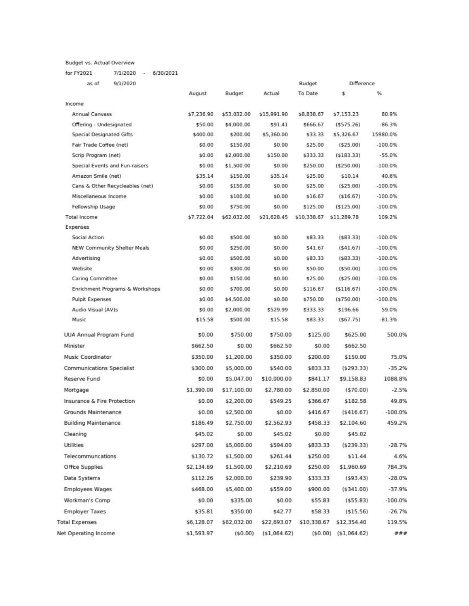Budget vs. Actual Overview

for FY2021 7/1/2020 - 6/30/2021

| as of<br>9/1/2020                |            |             |              | Budget      | Difference   |            |
|----------------------------------|------------|-------------|--------------|-------------|--------------|------------|
|                                  | August     | Budget      | Actual       | To Date     | \$           | %          |
| Income                           |            |             |              |             |              |            |
| Annual Canvass                   | \$7,236.90 | \$53,032.00 | \$15,991.90  | \$8,838.67  | \$7,153.23   | 80.9%      |
| Offering - Undesignated          | \$50.00    | \$4,000.00  | \$91.41      | \$666.67    | (5575.26)    | $-86.3%$   |
| <b>Special Designated Gifts</b>  | \$400.00   | \$200.00    | \$5,360.00   | \$33.33     | \$5,326.67   | 15980.0%   |
| Fair Trade Coffee (net)          | \$0.00     | \$150.00    | \$0.00       | \$25.00     | (525.00)     | $-100.0\%$ |
| Scrip Program (net)              | \$0.00     | \$2,000.00  | \$150.00     | \$333.33    | (5183.33)    | $-55.0%$   |
| Special Events and Fun-raisers   | \$0.00     | \$1,500.00  | \$0.00       | \$250.00    | (\$250.00)   | $-100.0\%$ |
| Amazon Smile (net)               | \$35.14    | \$150.00    | \$35.14      | \$25.00     | \$10.14      | 40.6%      |
| Cans & Other Recycleables (net)  | \$0.00     | \$150.00    | \$0.00       | \$25.00     | (\$25.00)    | $-100.0\%$ |
| Miscellaneous Income             | \$0.00     | \$100.00    | \$0.00       | \$16.67     | (\$16.67)    | $-100.0\%$ |
| Fellowship Usage                 | \$0.00     | \$750.00    | \$0.00       | \$125.00    | (\$125.00)   | $-100.0\%$ |
| <b>Total Income</b>              | \$7,722.04 | \$62,032.00 | \$21,628.45  | \$10,338.67 | \$11,289.78  | 109.2%     |
| Expenses                         |            |             |              |             |              |            |
| Social Action                    | \$0.00     | \$500.00    | \$0.00       | \$83.33     | (583.33)     | $-100.0\%$ |
| NEW Community Shelter Meals      | \$0.00     | \$250.00    | \$0.00       | \$41.67     | (541.67)     | $-100.0\%$ |
| Advertising                      | \$0.00     | \$500.00    | \$0.00       | \$83.33     | (583.33)     | $-100.0%$  |
| Website                          | \$0.00     | \$300.00    | \$0.00       | \$50.00     | (550.00)     | $-100.0\%$ |
| Caring Committee                 | \$0.00     | \$150.00    | \$0.00       | \$25.00     | (\$25.00)    | $-100.0\%$ |
| Enrichment Programs & Workshops  | \$0.00     | \$700.00    | \$0.00       | \$116.67    | (\$116.67)   | $-100.0\%$ |
| <b>Pulpit Expenses</b>           | \$0.00     | \$4,500.00  | \$0.00       | \$750.00    | (5750.00)    | $-100.0\%$ |
| Audio Visual (AV)s               | \$0.00     | \$2,000.00  | \$529.99     | \$333.33    | \$196.66     | 59.0%      |
| Music                            | \$15.58    | \$500.00    | \$15.58      | \$83.33     | (567.75)     | $-81.3%$   |
| UUA Annual Program Fund          | \$0.00     | \$750.00    | \$750.00     | \$125.00    | \$625.00     | 500.0%     |
| Minister.                        | \$662.50   | \$0.00      | \$662.50     | \$0.00      | \$662.50     |            |
| Music Coordinator                | \$350.00   | \$1,200.00  | \$350.00     | \$200.00    | \$150.00     | 75.0%      |
| <b>Communications Specialist</b> | \$300.00   | \$5,000.00  | \$540.00     | \$833.33    | (5293.33)    | $-35.2%$   |
| Reserve Fund                     | \$0.00     | \$5,047.00  | \$10,000.00  | \$841.17    | \$9,158.83   | 1088.8%    |
| Mortgage                         | \$1,390.00 | \$17,100.00 | \$2,780.00   | \$2,850.00  | (570.00)     | $-2.5%$    |
| Insurance & Fire Protection      | \$0.00     | \$2,200.00  | \$549.25     | \$366.67    | \$182.58     | 49.8%      |
| Grounds Maintenance              | \$0.00     | \$2,500.00  | \$0.00       | \$416.67    | ( \$416.67)  | $-100.0\%$ |
| <b>Building Maintenance</b>      | \$186.49   | \$2,750.00  | \$2,562.93   | \$458.33    | \$2,104.60   | 459.2%     |
| Cleaning                         | \$45.02    | \$0.00      | \$45.02      | \$0.00      | \$45.02      |            |
| Utilities                        | \$297.00   | \$5,000.00  | \$594.00     | \$833.33    | (5239.33)    | $-28.7%$   |
| Telecommuncations                | \$130.72   | \$1,500.00  | \$261.44     | \$250.00    | \$11.44      | 4.6%       |
| Office Supplies                  | \$2,134.69 | \$1,500.00  | \$2,210.69   | \$250.00    | \$1,960.69   | 784.3%     |
| Data Systems                     | \$112.26   | \$2,000.00  | \$239.90     | \$333.33    | (593.43)     | $-28.0%$   |
| <b>Employees Wages</b>           | \$468.00   | \$5,400.00  | \$559.00     | \$900.00    | (5341.00)    | $-37.9%$   |
| Workman's Comp                   | \$0.00     | \$335.00    | \$0.00       | \$55.83     | (555.83)     | $-100.0\%$ |
| <b>Employer Taxes</b>            | \$35.81    | \$350.00    | \$42.77      | \$58.33     | (515.56)     | $-26.7%$   |
| <b>Total Expenses</b>            | \$6,128.07 | \$62,032.00 | \$22,693.07  | \$10,338.67 | \$12,354.40  | 119.5%     |
| Net Operating Income             | \$1,593.97 | (50.00)     | (\$1,064.62) | (50.00)     | (\$1,064.62) | ###        |
|                                  |            |             |              |             |              |            |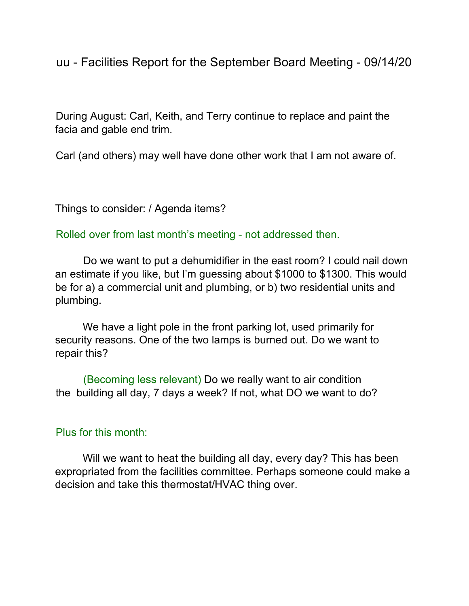uu - Facilities Report for the September Board Meeting - 09/14/20

During August: Carl, Keith, and Terry continue to replace and paint the facia and gable end trim.

Carl (and others) may well have done other work that I am not aware of.

Things to consider: / Agenda items?

Rolled over from last month's meeting - not addressed then.

Do we want to put a dehumidifier in the east room? I could nail down an estimate if you like, but I'm guessing about \$1000 to \$1300. This would be for a) a commercial unit and plumbing, or b) two residential units and plumbing.

We have a light pole in the front parking lot, used primarily for security reasons. One of the two lamps is burned out. Do we want to repair this?

(Becoming less relevant) Do we really want to air condition the building all day, 7 days a week? If not, what DO we want to do?

## Plus for this month:

Will we want to heat the building all day, every day? This has been expropriated from the facilities committee. Perhaps someone could make a decision and take this thermostat/HVAC thing over.